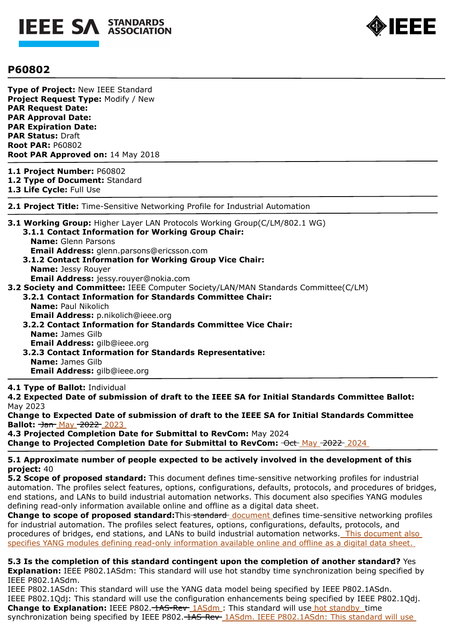



# **P60802**

**Type of Project:** New IEEE Standard **Project Request Type:** Modify / New **PAR Request Date: PAR Approval Date: PAR Expiration Date: PAR Status:** Draft **Root PAR:** P60802 **Root PAR Approved on:** 14 May 2018

- **1.1 Project Number:** P60802
- **1.2 Type of Document:** Standard

**1.3 Life Cycle:** Full Use

**2.1 Project Title:** Time-Sensitive Networking Profile for Industrial Automation

**3.1 Working Group:** Higher Layer LAN Protocols Working Group(C/LM/802.1 WG) **3.1.1 Contact Information for Working Group Chair: Name:** Glenn Parsons

**Email Address:** glenn.parsons@ericsson.com

- **3.1.2 Contact Information for Working Group Vice Chair: Name:** Jessy Rouyer **Email Address:** jessy.rouyer@nokia.com
- **3.2 Society and Committee:** IEEE Computer Society/LAN/MAN Standards Committee(C/LM)
	- **3.2.1 Contact Information for Standards Committee Chair: Name:** Paul Nikolich **Email Address:** p.nikolich@ieee.org **3.2.2 Contact Information for Standards Committee Vice Chair:**
	- **Name:** James Gilb **Email Address:** gilb@ieee.org
	- **3.2.3 Contact Information for Standards Representative: Name:** James Gilb **Email Address:** gilb@ieee.org

### **4.1 Type of Ballot:** Individual

**4.2 Expected Date of submission of draft to the IEEE SA for Initial Standards Committee Ballot:**  May 2023

**Change to Expected Date of submission of draft to the IEEE SA for Initial Standards Committee Ballot:** <del>Jan</del> May <del>2022</del> 2023

**4.3 Projected Completion Date for Submittal to RevCom:** May 2024 **Change to Projected Completion Date for Submittal to RevCom:**  $\Theta$ **ct May 2022 2024** 

## **5.1 Approximate number of people expected to be actively involved in the development of this project:** 40

**5.2 Scope of proposed standard:** This document defines time-sensitive networking profiles for industrial automation. The profiles select features, options, configurations, defaults, protocols, and procedures of bridges, end stations, and LANs to build industrial automation networks. This document also specifies YANG modules defining read-only information available online and offline as a digital data sheet.

**Change to scope of proposed standard:**This-standard-document defines time-sensitive networking profiles for industrial automation. The profiles select features, options, configurations, defaults, protocols, and procedures of bridges, end stations, and LANs to build industrial automation networks. This document also specifies YANG modules defining read-only information available online and offline as a digital data sheet.

**5.3 Is the completion of this standard contingent upon the completion of another standard?** Yes **Explanation:** IEEE P802.1ASdm: This standard will use hot standby time synchronization being specified by IEEE P802.1ASdm.

IEEE P802.1ASdn: This standard will use the YANG data model being specified by IEEE P802.1ASdn. IEEE P802.1Qdj: This standard will use the configuration enhancements being specified by IEEE P802.1Qdj. **Change to Explanation:** IEEE P802. *HAS-Rev 1ASdm*: This standard will use hot standby time synchronization being specified by IEEE P802. 1AS-Rev 1ASdm. IEEE P802.1ASdn: This standard will use